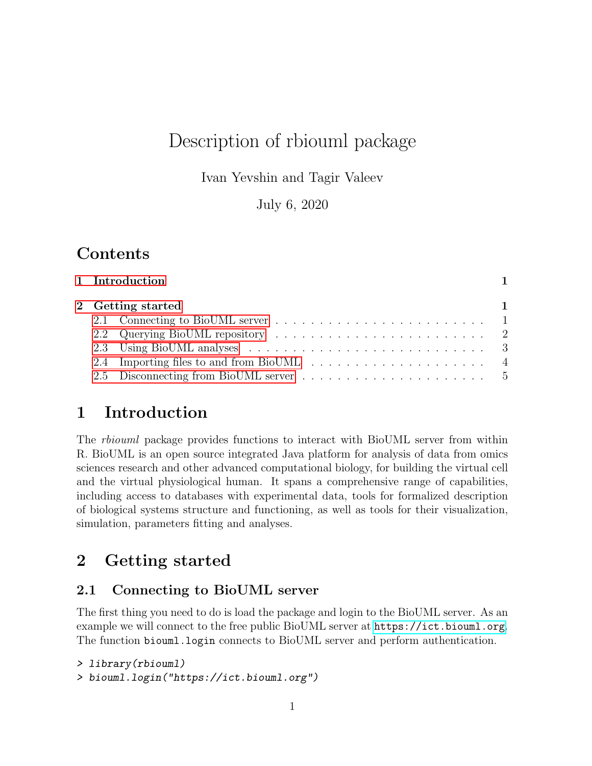# Description of rbiouml package

Ivan Yevshin and Tagir Valeev

July 6, 2020

## **Contents**

| 2 Getting started |  | 1 Introduction |  |  |  |  |  |
|-------------------|--|----------------|--|--|--|--|--|
|                   |  |                |  |  |  |  |  |
|                   |  |                |  |  |  |  |  |
|                   |  |                |  |  |  |  |  |
|                   |  |                |  |  |  |  |  |
|                   |  |                |  |  |  |  |  |
|                   |  |                |  |  |  |  |  |

## <span id="page-0-0"></span>1 Introduction

The rbiouml package provides functions to interact with BioUML server from within R. BioUML is an open source integrated Java platform for analysis of data from omics sciences research and other advanced computational biology, for building the virtual cell and the virtual physiological human. It spans a comprehensive range of capabilities, including access to databases with experimental data, tools for formalized description of biological systems structure and functioning, as well as tools for their visualization, simulation, parameters fitting and analyses.

## <span id="page-0-1"></span>2 Getting started

### <span id="page-0-2"></span>2.1 Connecting to BioUML server

The first thing you need to do is load the package and login to the BioUML server. As an example we will connect to the free public BioUML server at <https://ict.biouml.org>. The function biouml.login connects to BioUML server and perform authentication.

```
> library(rbiouml)
```

```
> biouml.login("https://ict.biouml.org")
```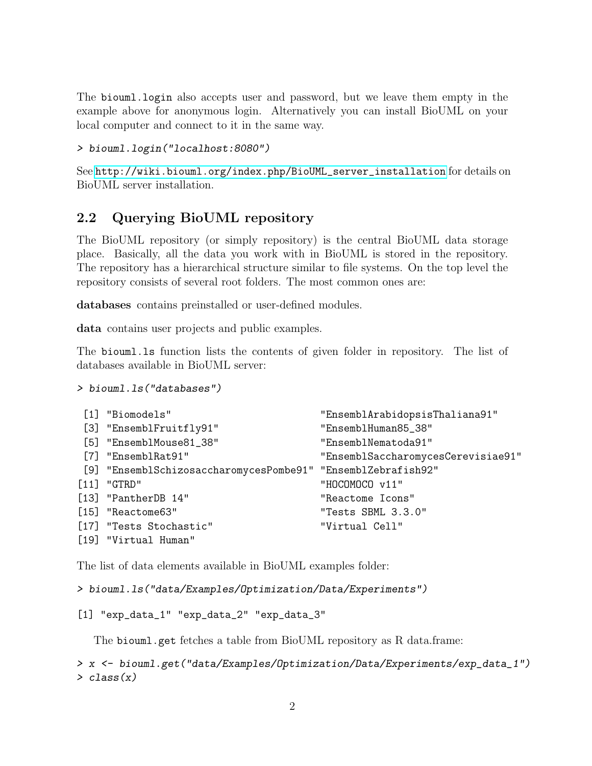The biouml.login also accepts user and password, but we leave them empty in the example above for anonymous login. Alternatively you can install BioUML on your local computer and connect to it in the same way.

```
> biouml.login("localhost:8080")
```
See [http://wiki.biouml.org/index.php/BioUML\\_server\\_installation](http://wiki.biouml.org/index.php/BioUML_server_installation) for details on BioUML server installation.

### <span id="page-1-0"></span>2.2 Querying BioUML repository

The BioUML repository (or simply repository) is the central BioUML data storage place. Basically, all the data you work with in BioUML is stored in the repository. The repository has a hierarchical structure similar to file systems. On the top level the repository consists of several root folders. The most common ones are:

databases contains preinstalled or user-defined modules.

data contains user projects and public examples.

The biouml.ls function lists the contents of given folder in repository. The list of databases available in BioUML server:

```
> biouml.ls("databases")
```

| [1] "Biomodels"                                              | "EnsemblArabidopsisThaliana91"     |
|--------------------------------------------------------------|------------------------------------|
| [3] "EnsemblFruitfly91"                                      | "EnsemblHuman85_38"                |
| [5] "EnsemblMouse81_38"                                      | "EnsemblNematoda91"                |
| $[7]$ "Ensembl $Rat91"$                                      | "EnsemblSaccharomycesCerevisiae91" |
| [9] "EnsemblSchizosaccharomycesPombe91" "EnsemblZebrafish92" |                                    |
| $[11]$ "GTRD"                                                | "HOCOMOCO v11"                     |
| [13] "PantherDB 14"                                          | "Reactome Icons"                   |
| $[15]$ "Reactome63"                                          | "Tests SBML 3.3.0"                 |
| [17] "Tests Stochastic"                                      | "Virtual Cell"                     |
| [19] "Virtual Human"                                         |                                    |

The list of data elements available in BioUML examples folder:

> biouml.ls("data/Examples/Optimization/Data/Experiments")

```
[1] "exp_data_1" "exp_data_2" "exp_data_3"
```
The biouml.get fetches a table from BioUML repository as R data.frame:

```
> x <- biouml.get("data/Examples/Optimization/Data/Experiments/exp_data_1")
> class(x)
```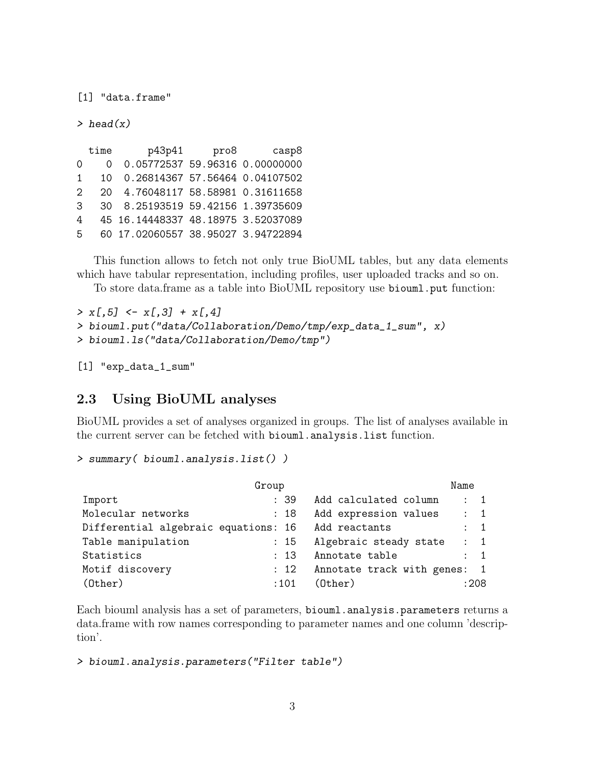[1] "data.frame"

 $>$  head(x)

time p43p41 pro8 casp8 0 0 0.05772537 59.96316 0.00000000 1 10 0.26814367 57.56464 0.04107502 2 20 4.76048117 58.58981 0.31611658 3 30 8.25193519 59.42156 1.39735609 4 45 16.14448337 48.18975 3.52037089 5 60 17.02060557 38.95027 3.94722894

This function allows to fetch not only true BioUML tables, but any data elements which have tabular representation, including profiles, user uploaded tracks and so on.

To store data.frame as a table into BioUML repository use biouml.put function:

```
> x[, 5] < - x[, 3] + x[, 4]> biouml.put("data/Collaboration/Demo/tmp/exp_data_1_sum", x)
> biouml.ls("data/Collaboration/Demo/tmp")
```
[1] "exp\_data\_1\_sum"

#### <span id="page-2-0"></span>2.3 Using BioUML analyses

BioUML provides a set of analyses organized in groups. The list of analyses available in the current server can be fetched with biouml.analysis.list function.

```
> summary( biouml.analysis.list() )
```

|                                      | Group |                              | Name           |  |
|--------------------------------------|-------|------------------------------|----------------|--|
| Import                               | : 39  | Add calculated column        | $\therefore$ 1 |  |
| Molecular networks                   | : 18  | Add expression values        | $\therefore$ 1 |  |
| Differential algebraic equations: 16 |       | Add reactants                | $\therefore$ 1 |  |
| Table manipulation                   | : 15  | Algebraic steady state       | $\therefore$ 1 |  |
| Statistics                           | : 13  | Annotate table               | $\therefore$ 1 |  |
| Motif discovery                      | : 12  | Annotate track with genes: 1 |                |  |
| $(0$ ther $)$                        | :101  | $(0$ ther $)$                | :208           |  |

Each biouml analysis has a set of parameters, biouml.analysis.parameters returns a data.frame with row names corresponding to parameter names and one column 'description'.

```
> biouml.analysis.parameters("Filter table")
```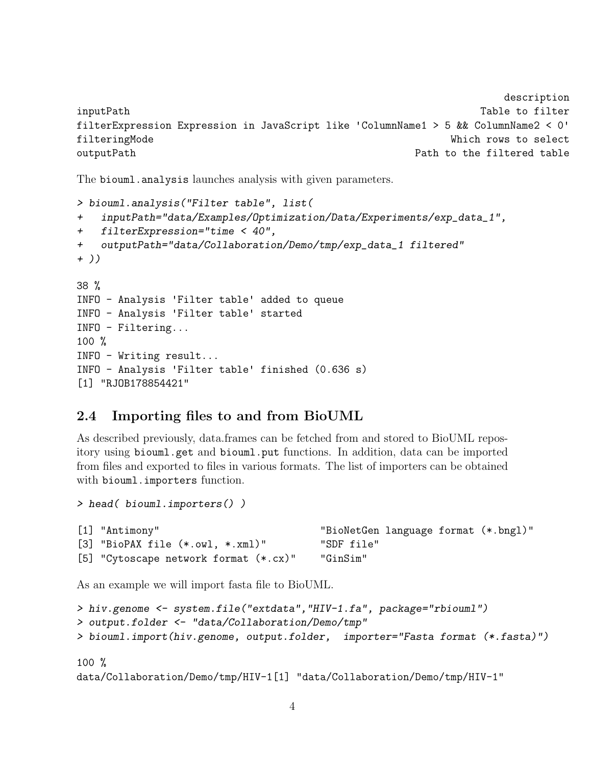```
description
inputPath Table to filter
filterExpression Expression in JavaScript like 'ColumnName1 > 5 && ColumnName2 < 0'
filteringMode Which rows to select
outputPath Path to the filtered table Path to the filtered table
```
The biouml.analysis launches analysis with given parameters.

```
> biouml.analysis("Filter table", list(
+ inputPath="data/Examples/Optimization/Data/Experiments/exp_data_1",
+ filterExpression="time < 40",
+ outputPath="data/Collaboration/Demo/tmp/exp_data_1 filtered"
+ ))
38 %
INFO - Analysis 'Filter table' added to queue
INFO - Analysis 'Filter table' started
INFO - Filtering...
100 %
INFO - Writing result...
INFO - Analysis 'Filter table' finished (0.636 s)
[1] "RJOB178854421"
```
#### <span id="page-3-0"></span>2.4 Importing files to and from BioUML

As described previously, data.frames can be fetched from and stored to BioUML repository using biouml.get and biouml.put functions. In addition, data can be imported from files and exported to files in various formats. The list of importers can be obtained with biouml.importers function.

```
[1] "Antimony" "BioNetGen language format (*.bngl)"
[3] "BioPAX file (*.owl, *.xml)" "SDF file"
[5] "Cytoscape network format (*.cx)" "GinSim"
```
As an example we will import fasta file to BioUML.

> head( biouml.importers() )

```
> hiv.genome <- system.file("extdata","HIV-1.fa", package="rbiouml")
> output.folder <- "data/Collaboration/Demo/tmp"
> biouml.import(hiv.genome, output.folder, importer="Fasta format (*.fasta)")
```

```
100 %
data/Collaboration/Demo/tmp/HIV-1[1] "data/Collaboration/Demo/tmp/HIV-1"
```